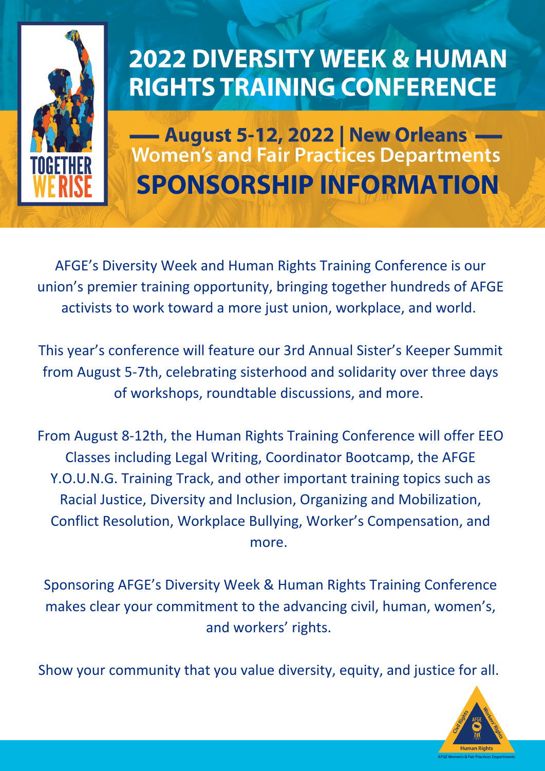

### **2022 DIVERSITY WEEK & HUMAN RIGHTS TRAINING CONFERENCE**

- August 5-12, 2022 | New Orleans **Women's and Fair Practices Departments SPONSORSHIP INFORMATION**

AFGE's Diversity Week and Human Rights Training Conference is our union's premier training opportunity, bringing together hundreds of AFGE activists to work toward a more just union, workplace, and world.

This year's conference will feature our 3rd Annual Sister's Keeper Summit from August 5-7th, celebrating sisterhood and solidarity over three days of workshops, roundtable discussions, and more.

From August 8-12th, the Human Rights Training Conference will offer EEO Classes including Legal Writing, Coordinator Bootcamp, the AFGE Y.O.U.N.G. Training Track, and other important training topics such as Racial Justice, Diversity and Inclusion, Organizing and Mobilization, Conflict Resolution, Workplace Bullying, Worker's Compensation, and more.

Sponsoring AFGE's Diversity Week & Human Rights Training Conference makes clear your commitment to the advancing civil, human, women's, and workers' rights.

Show your community that you value diversity, equity, and justice for all.

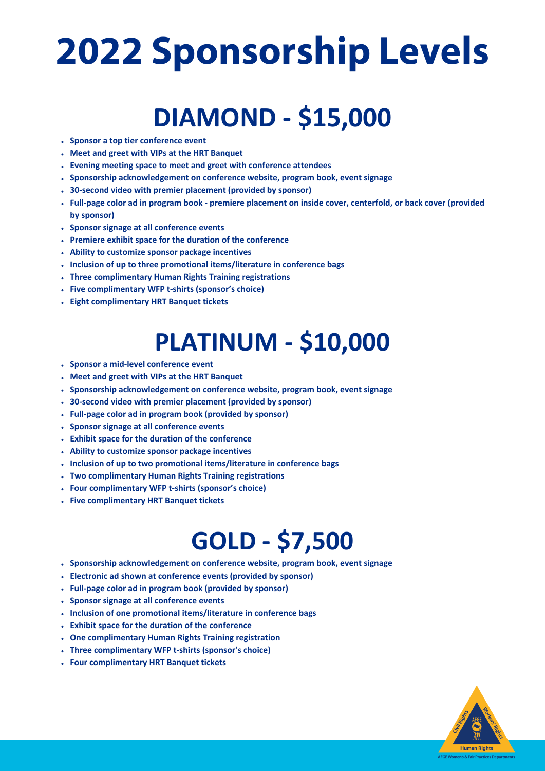# **2022 Sponsorship Levels**

### **DIAMOND - \$15,000**

- **Sponsor a top tier conference event**
- **Meet and greet with VIPs at the HRT Banquet**
- **Evening meeting space to meet and greet with conference attendees**
- **Sponsorship acknowledgement on conference website, program book, event signage**
- **30-second video with premier placement (provided by sponsor)**
- Full-page color ad in program book premiere placement on inside cover, centerfold, or back cover (provided **by sponsor)**
- **Sponsor signage at all conference events**
- **Premiere exhibit space for the duration of the conference**
- **Ability to customize sponsor package incentives**
- **Inclusion of up to three promotional items/literature in conference bags**
- **Three complimentary Human Rights Training registrations**
- **Five complimentary WFP t-shirts (sponsor's choice)**
- **Eight complimentary HRT Banquet tickets**

#### **PLATINUM - \$10,000**

- **Sponsor a mid-level conference event**
- **Meet and greet with VIPs at the HRT Banquet**
- **Sponsorship acknowledgement on conference website, program book, event signage**
- **30-second video with premier placement (provided by sponsor)**
- **Full-page color ad in program book (provided by sponsor)**
- **Sponsor signage at all conference events**
- **Exhibit space for the duration of the conference**
- **Ability to customize sponsor package incentives**
- **Inclusion of up to two promotional items/literature in conference bags**
- **Two complimentary Human Rights Training registrations**
- **Four complimentary WFP t-shirts (sponsor's choice)**
- **Five complimentary HRT Banquet tickets**

#### **GOLD - \$7,500**

- **Sponsorship acknowledgement on conference website, program book, event signage**
- **Electronic ad shown at conference events (provided by sponsor)**
- **Full-page color ad in program book (provided by sponsor)**
- **Sponsor signage at all conference events**
- **Inclusion of one promotional items/literature in conference bags**
- **Exhibit space for the duration of the conference**
- **One complimentary Human Rights Training registration**
- **Three complimentary WFP t-shirts (sponsor's choice)**
- **Four complimentary HRT Banquet tickets**

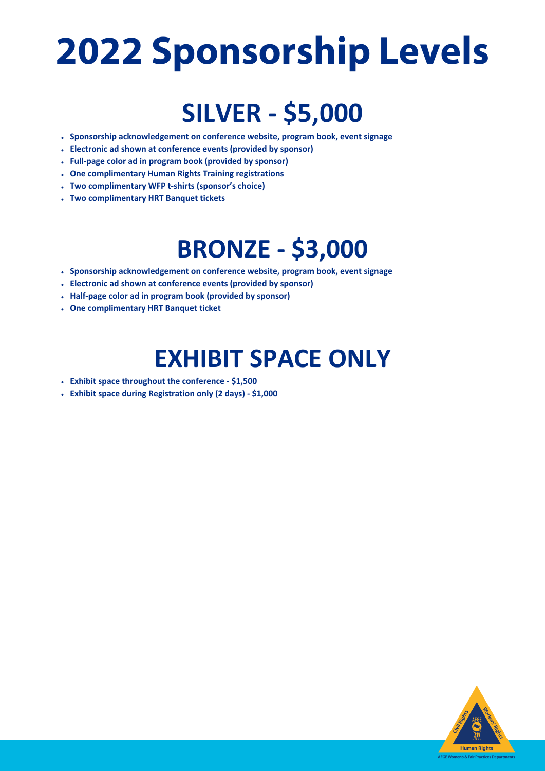# **2022 Sponsorship Levels**

### **SILVER - \$5,000**

- **Sponsorship acknowledgement on conference website, program book, event signage**
- **Electronic ad shown at conference events (provided by sponsor)**
- **Full-page color ad in program book (provided by sponsor)**
- **One complimentary Human Rights Training registrations**
- **Two complimentary WFP t-shirts (sponsor's choice)**
- **Two complimentary HRT Banquet tickets**

#### **BRONZE - \$3,000**

- **Sponsorship acknowledgement on conference website, program book, event signage**
- **Electronic ad shown at conference events (provided by sponsor)**
- **Half-page color ad in program book (provided by sponsor)**
- **One complimentary HRT Banquet ticket**

#### **EXHIBIT SPACE ONLY**

- **Exhibit space throughout the conference - \$1,500**
- **Exhibit space during Registration only (2 days) - \$1,000**